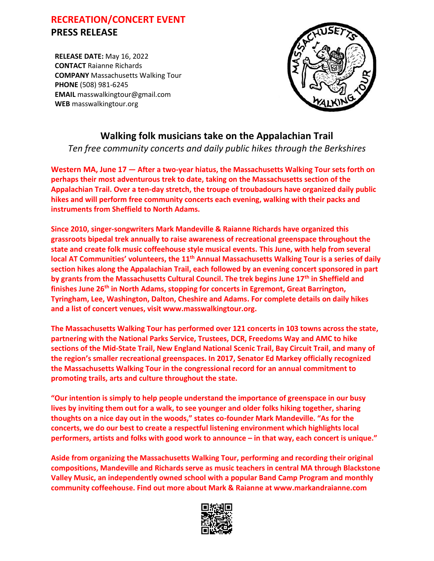## **RECREATION/CONCERT EVENT PRESS RELEASE**

**RELEASE DATE:** May 16, 2022 **CONTACT** Raianne Richards **COMPANY** Massachusetts Walking Tour **PHONE** (508) 981-6245 **EMAIL** masswalkingtour@gmail.com **WEB** masswalkingtour.org



## **Walking folk musicians take on the Appalachian Trail**

*Ten free community concerts and daily public hikes through the Berkshires*

**Western MA, June 17 — After a two-year hiatus, the Massachusetts Walking Tour sets forth on perhaps their most adventurous trek to date, taking on the Massachusetts section of the Appalachian Trail. Over a ten-day stretch, the troupe of troubadours have organized daily public hikes and will perform free community concerts each evening, walking with their packs and instruments from Sheffield to North Adams.**

**Since 2010, singer-songwriters Mark Mandeville & Raianne Richards have organized this grassroots bipedal trek annually to raise awareness of recreational greenspace throughout the state and create folk music coffeehouse style musical events. This June, with help from several local AT Communities' volunteers, the 11th Annual Massachusetts Walking Tour is a series of daily section hikes along the Appalachian Trail, each followed by an evening concert sponsored in part by grants from the Massachusetts Cultural Council. The trek begins June 17th in Sheffield and finishes June 26th in North Adams, stopping for concerts in Egremont, Great Barrington, Tyringham, Lee, Washington, Dalton, Cheshire and Adams. For complete details on daily hikes and a list of concert venues, visit www.masswalkingtour.org.** 

**The Massachusetts Walking Tour has performed over 121 concerts in 103 towns across the state, partnering with the National Parks Service, Trustees, DCR, Freedoms Way and AMC to hike sections of the Mid-State Trail, New England National Scenic Trail, Bay Circuit Trail, and many of the region's smaller recreational greenspaces. In 2017, Senator Ed Markey officially recognized the Massachusetts Walking Tour in the congressional record for an annual commitment to promoting trails, arts and culture throughout the state.** 

**"Our intention is simply to help people understand the importance of greenspace in our busy lives by inviting them out for a walk, to see younger and older folks hiking together, sharing thoughts on a nice day out in the woods," states co-founder Mark Mandeville. "As for the concerts, we do our best to create a respectful listening environment which highlights local performers, artists and folks with good work to announce – in that way, each concert is unique."**

**Aside from organizing the Massachusetts Walking Tour, performing and recording their original compositions, Mandeville and Richards serve as music teachers in central MA through Blackstone Valley Music, an independently owned school with a popular Band Camp Program and monthly community coffeehouse. Find out more about Mark & Raianne at www.markandraianne.com**